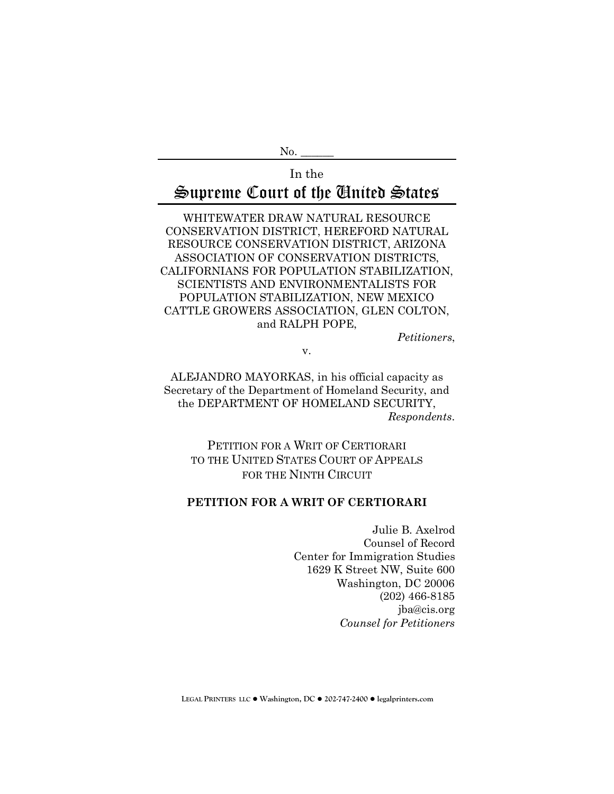N<sub>o</sub>.

# In the Supreme Court of the United States

WHITEWATER DRAW NATURAL RESOURCE CONSERVATION DISTRICT, HEREFORD NATURAL RESOURCE CONSERVATION DISTRICT, ARIZONA ASSOCIATION OF CONSERVATION DISTRICTS, CALIFORNIANS FOR POPULATION STABILIZATION, SCIENTISTS AND ENVIRONMENTALISTS FOR POPULATION STABILIZATION, NEW MEXICO CATTLE GROWERS ASSOCIATION, GLEN COLTON, and RALPH POPE,

*Petitioners*,

v.

ALEJANDRO MAYORKAS, in his official capacity as Secretary of the Department of Homeland Security, and the DEPARTMENT OF HOMELAND SECURITY, *Respondents*.

PETITION FOR A WRIT OF CERTIORARI TO THE UNITED STATES COURT OF APPEALS FOR THE NINTH CIRCUIT

## **PETITION FOR A WRIT OF CERTIORARI**

Julie B. Axelrod Counsel of Record Center for Immigration Studies 1629 K Street NW, Suite 600 Washington, DC 20006 (202) 466-8185 jba@cis.org *Counsel for Petitioners* 

**LEGAL PRINTERS LLC** ! **Washington, DC** ! **202-747-2400** ! **legalprinters.com**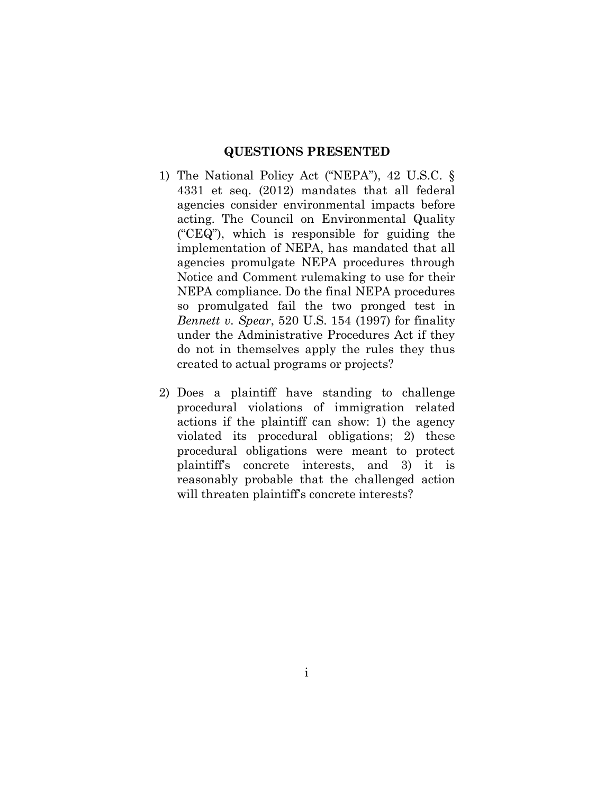#### **QUESTIONS PRESENTED**

- 1) The National Policy Act ("NEPA"), 42 U.S.C. § 4331 et seq. (2012) mandates that all federal agencies consider environmental impacts before acting. The Council on Environmental Quality ("CEQ"), which is responsible for guiding the implementation of NEPA, has mandated that all agencies promulgate NEPA procedures through Notice and Comment rulemaking to use for their NEPA compliance. Do the final NEPA procedures so promulgated fail the two pronged test in *Bennett v. Spear*, 520 U.S. 154 (1997) for finality under the Administrative Procedures Act if they do not in themselves apply the rules they thus created to actual programs or projects?
- 2) Does a plaintiff have standing to challenge procedural violations of immigration related actions if the plaintiff can show: 1) the agency violated its procedural obligations; 2) these procedural obligations were meant to protect plaintiff's concrete interests, and 3) it is reasonably probable that the challenged action will threaten plaintiff's concrete interests?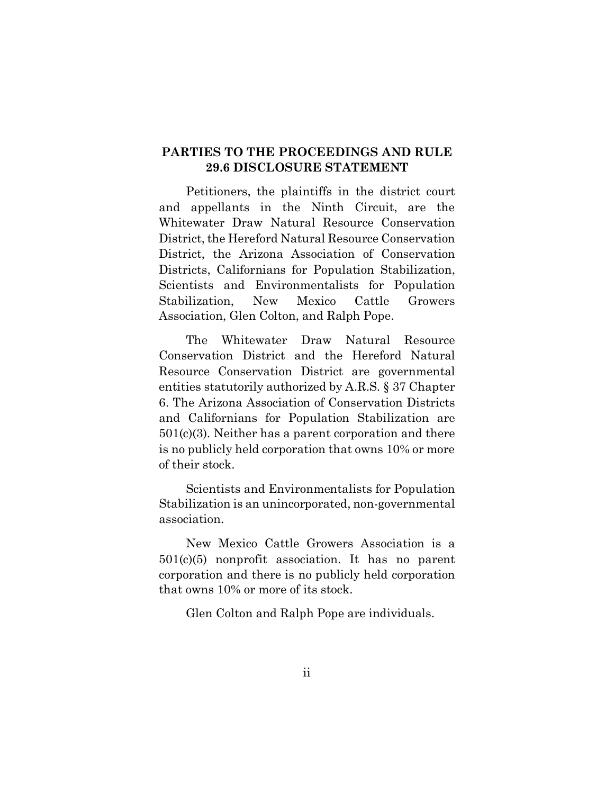## **PARTIES TO THE PROCEEDINGS AND RULE 29.6 DISCLOSURE STATEMENT**

Petitioners, the plaintiffs in the district court and appellants in the Ninth Circuit, are the Whitewater Draw Natural Resource Conservation District, the Hereford Natural Resource Conservation District, the Arizona Association of Conservation Districts, Californians for Population Stabilization, Scientists and Environmentalists for Population Stabilization, New Mexico Cattle Growers Association, Glen Colton, and Ralph Pope.

The Whitewater Draw Natural Resource Conservation District and the Hereford Natural Resource Conservation District are governmental entities statutorily authorized by A.R.S. § 37 Chapter 6. The Arizona Association of Conservation Districts and Californians for Population Stabilization are 501(c)(3). Neither has a parent corporation and there is no publicly held corporation that owns 10% or more of their stock.

Scientists and Environmentalists for Population Stabilization is an unincorporated, non-governmental association.

New Mexico Cattle Growers Association is a 501(c)(5) nonprofit association. It has no parent corporation and there is no publicly held corporation that owns 10% or more of its stock.

Glen Colton and Ralph Pope are individuals.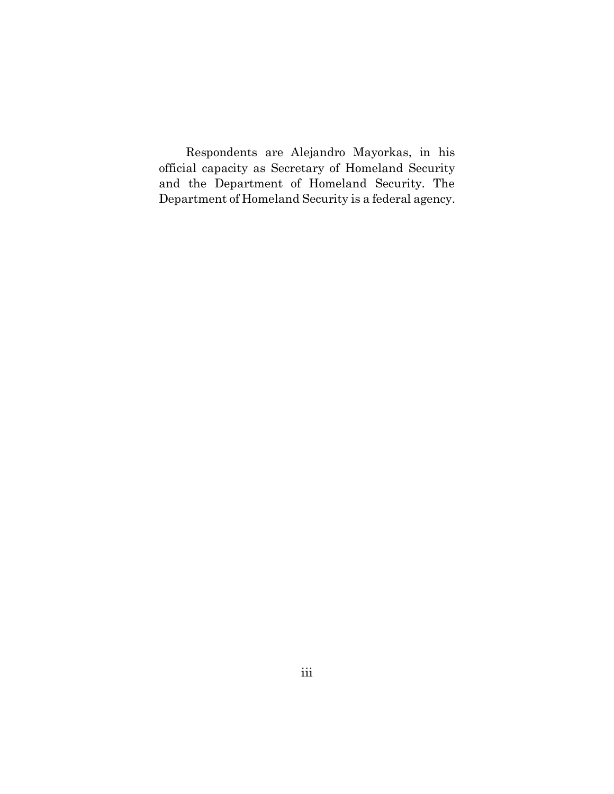Respondents are Alejandro Mayorkas, in his official capacity as Secretary of Homeland Security and the Department of Homeland Security. The Department of Homeland Security is a federal agency.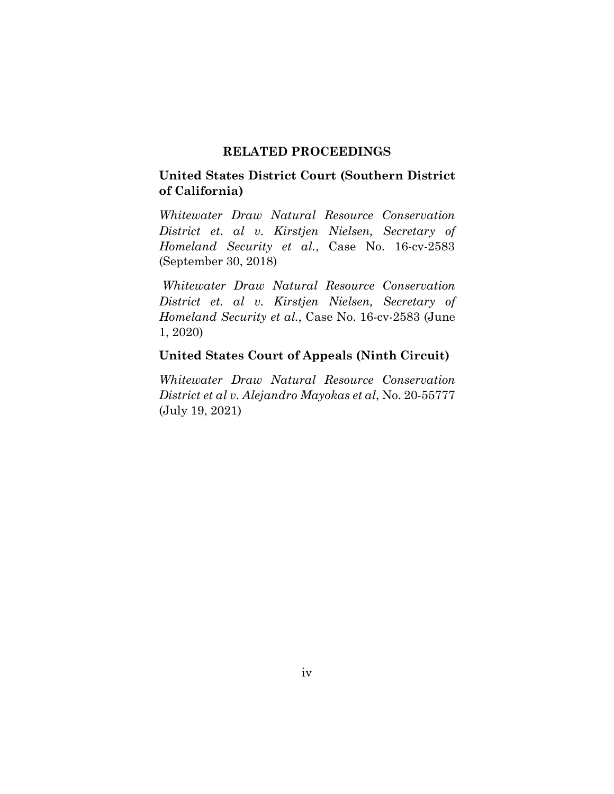#### **RELATED PROCEEDINGS**

## **United States District Court (Southern District of California)**

*Whitewater Draw Natural Resource Conservation District et. al v. Kirstjen Nielsen, Secretary of Homeland Security et al.*, Case No. 16-cv-2583 (September 30, 2018)

*Whitewater Draw Natural Resource Conservation District et. al v. Kirstjen Nielsen, Secretary of Homeland Security et al.*, Case No. 16-cv-2583 (June 1, 2020)

## **United States Court of Appeals (Ninth Circuit)**

*Whitewater Draw Natural Resource Conservation District et al v. Alejandro Mayokas et al*, No. 20-55777 (July 19, 2021)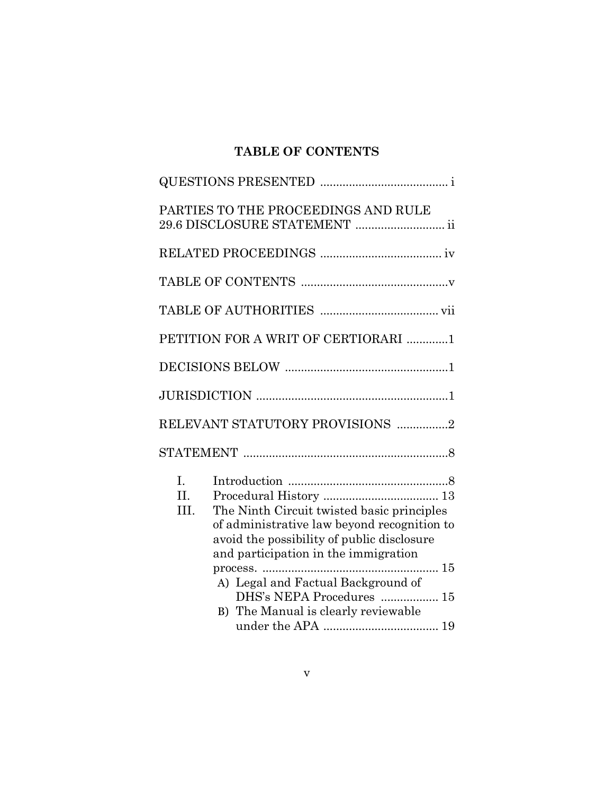# **TABLE OF CONTENTS**

|                             | PARTIES TO THE PROCEEDINGS AND RULE<br>29.6 DISCLOSURE STATEMENT  ii                                                                                                                                                                               |
|-----------------------------|----------------------------------------------------------------------------------------------------------------------------------------------------------------------------------------------------------------------------------------------------|
|                             |                                                                                                                                                                                                                                                    |
|                             |                                                                                                                                                                                                                                                    |
|                             |                                                                                                                                                                                                                                                    |
|                             | PETITION FOR A WRIT OF CERTIORARI 1                                                                                                                                                                                                                |
|                             |                                                                                                                                                                                                                                                    |
|                             |                                                                                                                                                                                                                                                    |
|                             | RELEVANT STATUTORY PROVISIONS 2                                                                                                                                                                                                                    |
|                             |                                                                                                                                                                                                                                                    |
| $\mathbf{L}$<br>II.<br>III. | The Ninth Circuit twisted basic principles<br>of administrative law beyond recognition to<br>avoid the possibility of public disclosure<br>and participation in the immigration<br>A) Legal and Factual Background of<br>DHS's NEPA Procedures  15 |
|                             | B) The Manual is clearly reviewable                                                                                                                                                                                                                |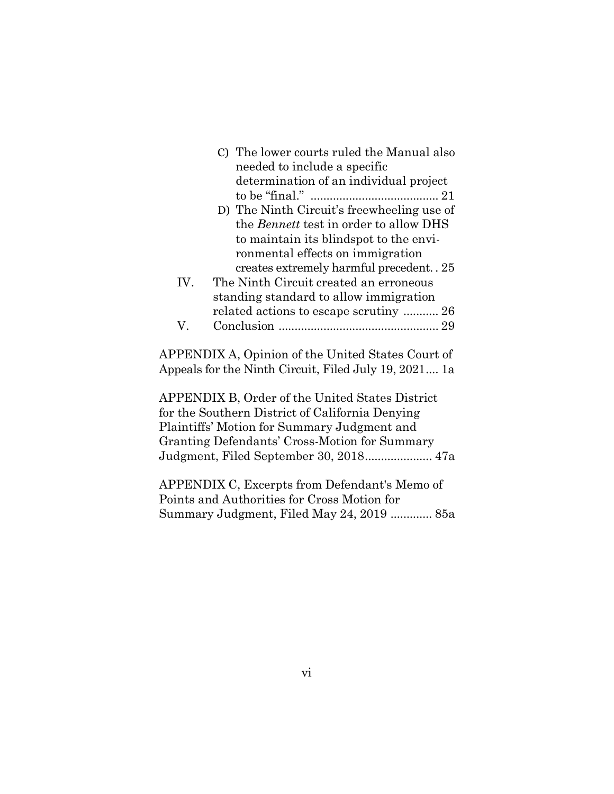|     | C) The lower courts ruled the Manual also                        |
|-----|------------------------------------------------------------------|
|     | needed to include a specific                                     |
|     | determination of an individual project                           |
|     |                                                                  |
|     | D) The Ninth Circuit's freewheeling use of                       |
|     | the <i>Bennett</i> test in order to allow DHS                    |
|     | to maintain its blindspot to the envi-                           |
|     | ronmental effects on immigration                                 |
|     | creates extremely harmful precedent. . 25                        |
| IV. | The Ninth Circuit created an erroneous                           |
|     | standing standard to allow immigration                           |
|     | related actions to escape scrutiny  26                           |
| V   |                                                                  |
|     |                                                                  |
|     | $\Omega$ DDFNDIV $\Lambda$ Opinion of the United States Count of |

APPENDIX A, Opinion of the United States Court of Appeals for the Ninth Circuit, Filed July 19, 2021.... 1a

APPENDIX B, Order of the United States District for the Southern District of California Denying Plaintiffs' Motion for Summary Judgment and Granting Defendants' Cross-Motion for Summary Judgment, Filed September 30, 2018..................... 47a

APPENDIX C, Excerpts from Defendant's Memo of Points and Authorities for Cross Motion for Summary Judgment, Filed May 24, 2019 ............. 85a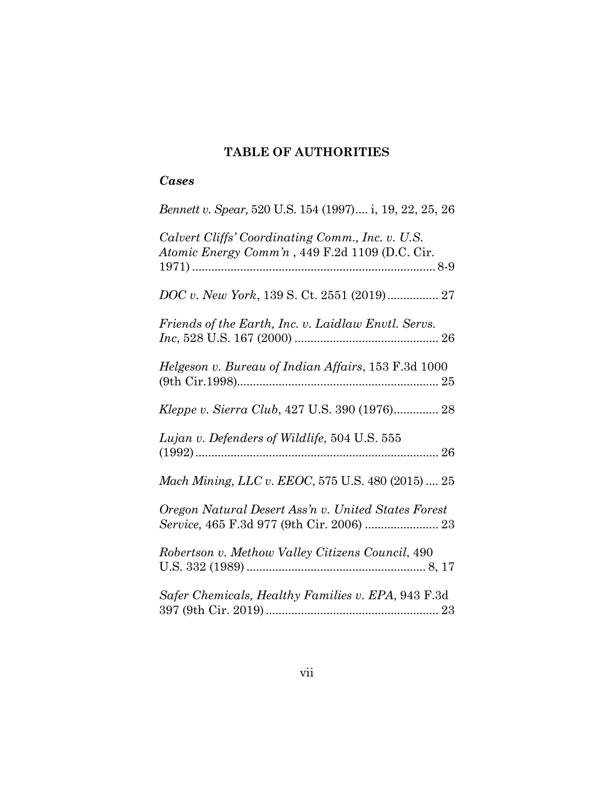## **TABLE OF AUTHORITIES**

## *Cases*

| Bennett v. Spear, 520 U.S. 154 (1997) i, 19, 22, 25, 26                                            |
|----------------------------------------------------------------------------------------------------|
| Calvert Cliffs' Coordinating Comm., Inc. v. U.S.<br>Atomic Energy Comm'n, 449 F.2d 1109 (D.C. Cir. |
|                                                                                                    |
| Friends of the Earth, Inc. v. Laidlaw Envtl. Servs.                                                |
| Helgeson v. Bureau of Indian Affairs, 153 F.3d 1000                                                |
| Kleppe v. Sierra Club, 427 U.S. 390 (1976) 28                                                      |
| Lujan v. Defenders of Wildlife, 504 U.S. 555                                                       |
| Mach Mining, LLC v. EEOC, 575 U.S. 480 (2015)  25                                                  |
| Oregon Natural Desert Ass'n v. United States Forest                                                |
| Robertson v. Methow Valley Citizens Council, 490                                                   |
| Safer Chemicals, Healthy Families v. EPA, 943 F.3d                                                 |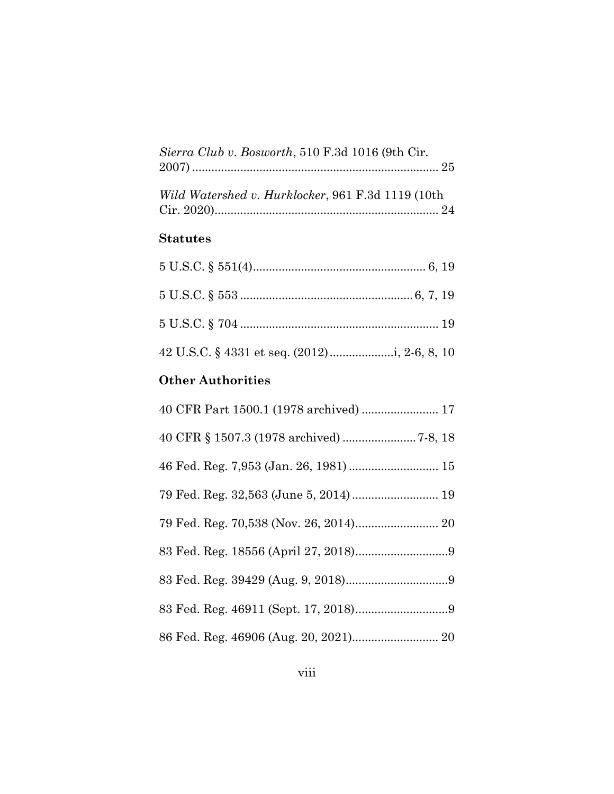| Sierra Club v. Bosworth, 510 F.3d 1016 (9th Cir.  |  |
|---------------------------------------------------|--|
|                                                   |  |
|                                                   |  |
| Wild Watershed v. Hurklocker, 961 F.3d 1119 (10th |  |
|                                                   |  |

## **Statutes**

# **Other Authorities**

| 40 CFR Part 1500.1 (1978 archived)  17 |  |
|----------------------------------------|--|
|                                        |  |
| 46 Fed. Reg. 7,953 (Jan. 26, 1981)  15 |  |
| 79 Fed. Reg. 32,563 (June 5, 2014) 19  |  |
|                                        |  |
|                                        |  |
|                                        |  |
|                                        |  |
|                                        |  |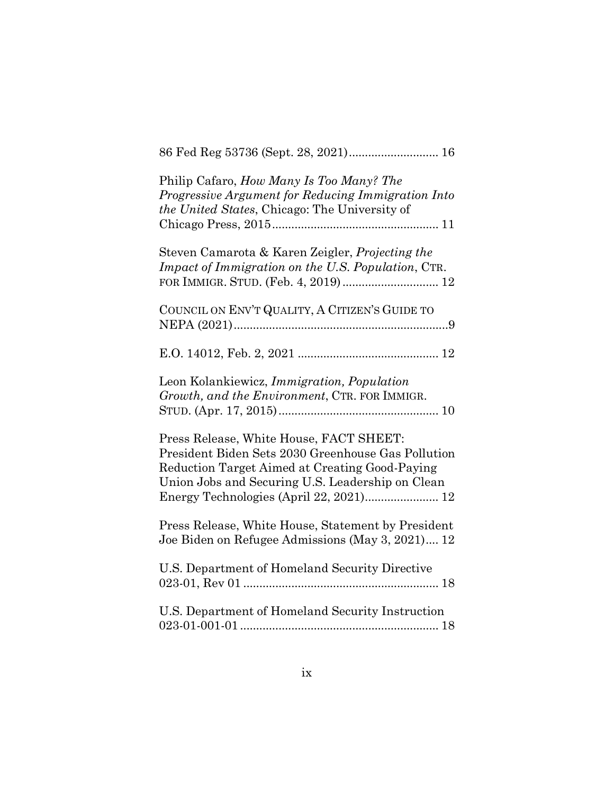| 86 Fed Reg 53736 (Sept. 28, 2021) 16                                                                                                                                                                |
|-----------------------------------------------------------------------------------------------------------------------------------------------------------------------------------------------------|
| Philip Cafaro, How Many Is Too Many? The<br>Progressive Argument for Reducing Immigration Into<br>the United States, Chicago: The University of                                                     |
| Steven Camarota & Karen Zeigler, Projecting the<br>Impact of Immigration on the U.S. Population, CTR.                                                                                               |
| COUNCIL ON ENV'T QUALITY, A CITIZEN'S GUIDE TO                                                                                                                                                      |
|                                                                                                                                                                                                     |
| Leon Kolankiewicz, Immigration, Population<br>Growth, and the Environment, CTR. FOR IMMIGR.                                                                                                         |
| Press Release, White House, FACT SHEET:<br>President Biden Sets 2030 Greenhouse Gas Pollution<br>Reduction Target Aimed at Creating Good-Paying<br>Union Jobs and Securing U.S. Leadership on Clean |
| Press Release, White House, Statement by President<br>Joe Biden on Refugee Admissions (May 3, 2021) 12                                                                                              |
| U.S. Department of Homeland Security Directive                                                                                                                                                      |
| U.S. Department of Homeland Security Instruction                                                                                                                                                    |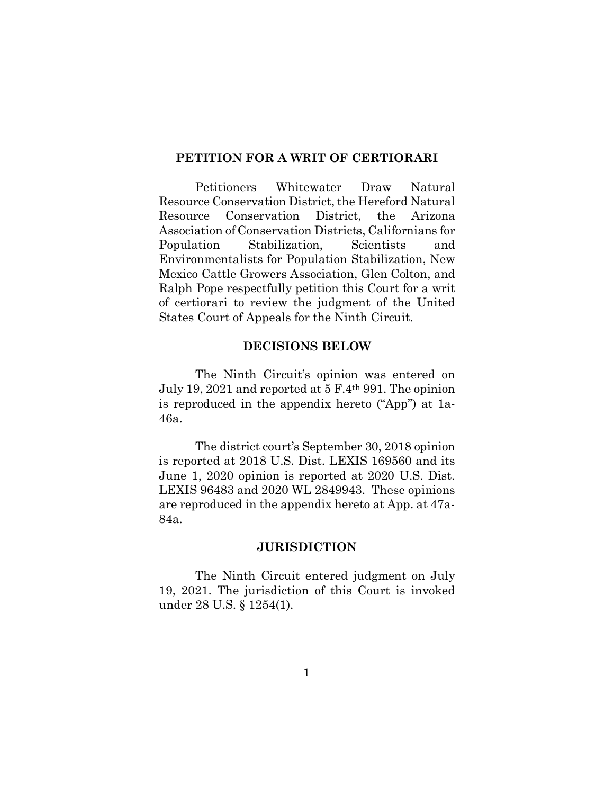#### **PETITION FOR A WRIT OF CERTIORARI**

Petitioners Whitewater Draw Natural Resource Conservation District, the Hereford Natural Resource Conservation District, the Arizona Association of Conservation Districts, Californians for Population Stabilization, Scientists and Environmentalists for Population Stabilization, New Mexico Cattle Growers Association, Glen Colton, and Ralph Pope respectfully petition this Court for a writ of certiorari to review the judgment of the United States Court of Appeals for the Ninth Circuit.

#### **DECISIONS BELOW**

The Ninth Circuit's opinion was entered on July 19, 2021 and reported at 5 F.4th 991. The opinion is reproduced in the appendix hereto ("App") at 1a-46a.

The district court's September 30, 2018 opinion is reported at 2018 U.S. Dist. LEXIS 169560 and its June 1, 2020 opinion is reported at 2020 U.S. Dist. LEXIS 96483 and 2020 WL 2849943. These opinions are reproduced in the appendix hereto at App. at 47a-84a.

#### **JURISDICTION**

The Ninth Circuit entered judgment on July 19, 2021. The jurisdiction of this Court is invoked under 28 U.S. § 1254(1).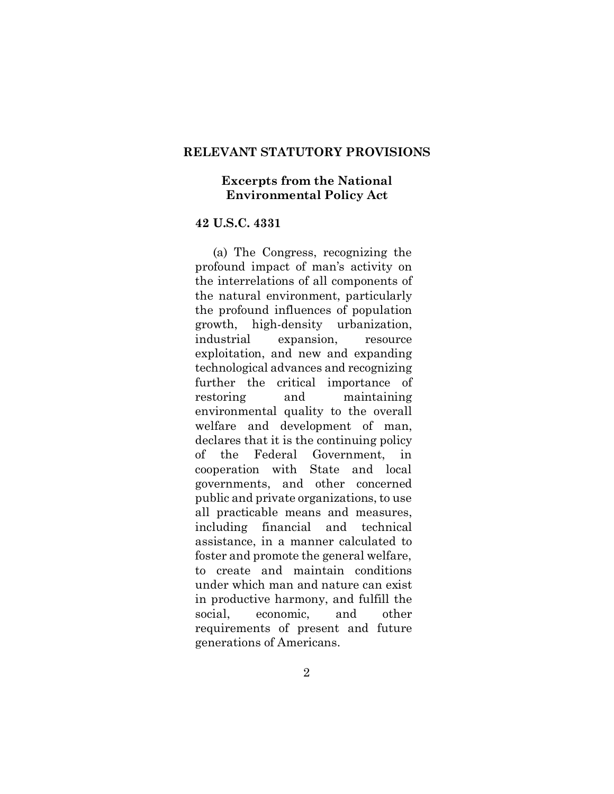#### **RELEVANT STATUTORY PROVISIONS**

#### **Excerpts from the National Environmental Policy Act**

#### **42 U.S.C. 4331**

(a) The Congress, recognizing the profound impact of man's activity on the interrelations of all components of the natural environment, particularly the profound influences of population growth, high-density urbanization, industrial expansion, resource exploitation, and new and expanding technological advances and recognizing further the critical importance of restoring and maintaining environmental quality to the overall welfare and development of man, declares that it is the continuing policy of the Federal Government, in cooperation with State and local governments, and other concerned public and private organizations, to use all practicable means and measures, including financial and technical assistance, in a manner calculated to foster and promote the general welfare, to create and maintain conditions under which man and nature can exist in productive harmony, and fulfill the social, economic, and other requirements of present and future generations of Americans.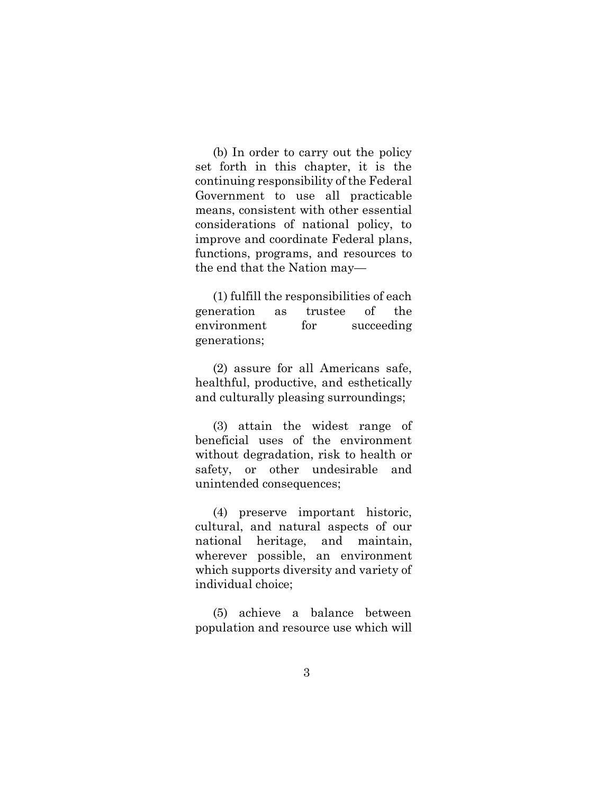(b) In order to carry out the policy set forth in this chapter, it is the continuing responsibility of the Federal Government to use all practicable means, consistent with other essential considerations of national policy, to improve and coordinate Federal plans, functions, programs, and resources to the end that the Nation may—

(1) fulfill the responsibilities of each generation as trustee of the environment for succeeding generations;

(2) assure for all Americans safe, healthful, productive, and esthetically and culturally pleasing surroundings;

(3) attain the widest range of beneficial uses of the environment without degradation, risk to health or safety, or other undesirable and unintended consequences;

(4) preserve important historic, cultural, and natural aspects of our national heritage, and maintain, wherever possible, an environment which supports diversity and variety of individual choice;

(5) achieve a balance between population and resource use which will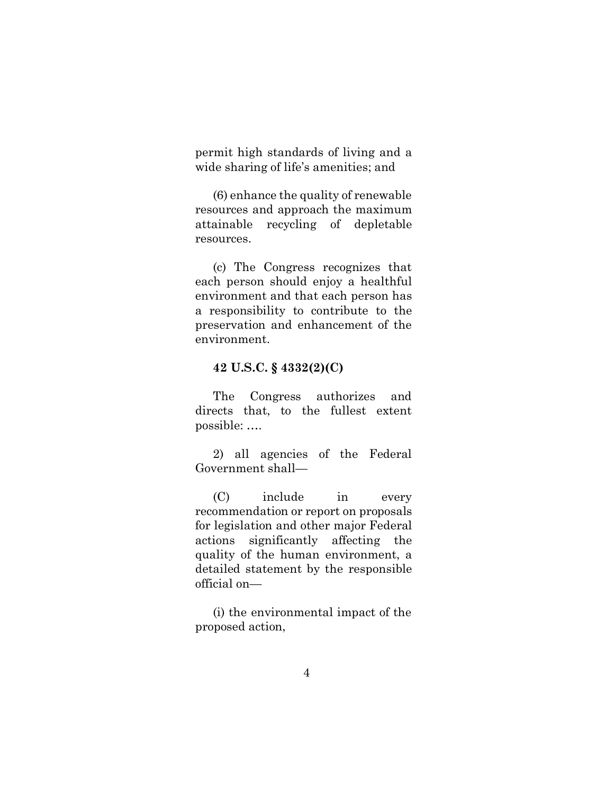permit high standards of living and a wide sharing of life's amenities; and

(6) enhance the quality of renewable resources and approach the maximum attainable recycling of depletable resources.

(c) The Congress recognizes that each person should enjoy a healthful environment and that each person has a responsibility to contribute to the preservation and enhancement of the environment.

#### **42 U.S.C. § 4332(2)(C)**

The Congress authorizes and directs that, to the fullest extent possible: ….

2) all agencies of the Federal Government shall—

(C) include in every recommendation or report on proposals for legislation and other major Federal actions significantly affecting the quality of the human environment, a detailed statement by the responsible official on—

(i) the environmental impact of the proposed action,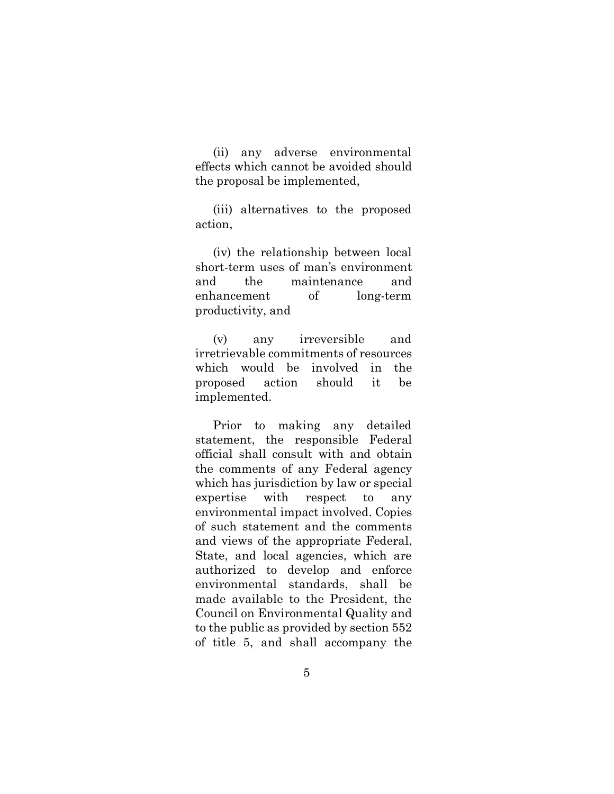(ii) any adverse environmental effects which cannot be avoided should the proposal be implemented,

(iii) alternatives to the proposed action,

(iv) the relationship between local short-term uses of man's environment and the maintenance and enhancement of long-term productivity, and

(v) any irreversible and irretrievable commitments of resources which would be involved in the proposed action should it be implemented.

Prior to making any detailed statement, the responsible Federal official shall consult with and obtain the comments of any Federal agency which has jurisdiction by law or special expertise with respect to any environmental impact involved. Copies of such statement and the comments and views of the appropriate Federal, State, and local agencies, which are authorized to develop and enforce environmental standards, shall be made available to the President, the Council on Environmental Quality and to the public as provided by section 552 of title 5, and shall accompany the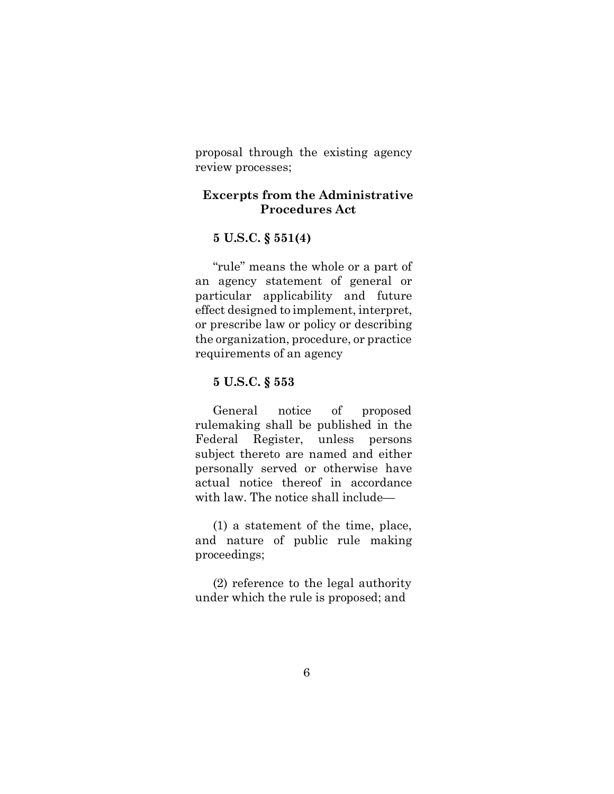proposal through the existing agency review processes;

## **Excerpts from the Administrative Procedures Act**

## **5 U.S.C. § 551(4)**

"rule" means the whole or a part of an agency statement of general or particular applicability and future effect designed to implement, interpret, or prescribe law or policy or describing the organization, procedure, or practice requirements of an agency

## **5 U.S.C. § 553**

General notice of proposed rulemaking shall be published in the Federal Register, unless persons subject thereto are named and either personally served or otherwise have actual notice thereof in accordance with law. The notice shall include—

(1) a statement of the time, place, and nature of public rule making proceedings;

(2) reference to the legal authority under which the rule is proposed; and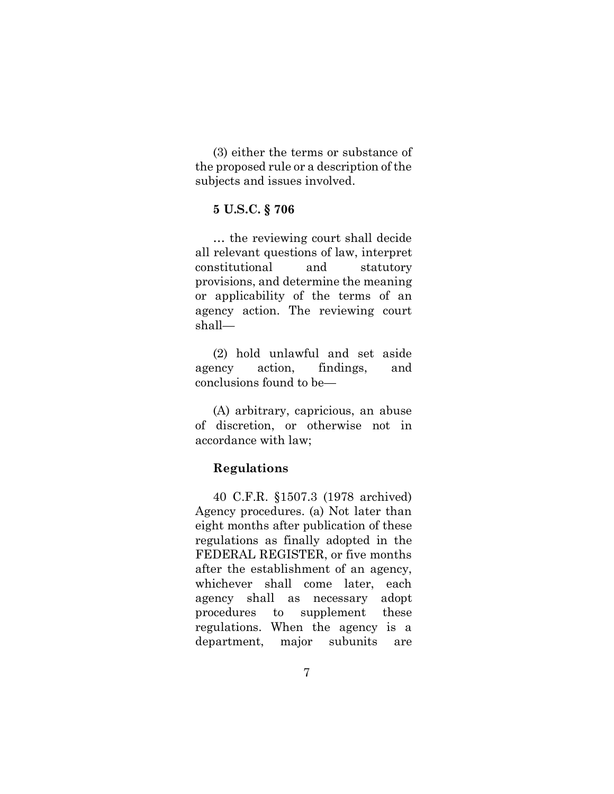(3) either the terms or substance of the proposed rule or a description of the subjects and issues involved.

#### **5 U.S.C. § 706**

… the reviewing court shall decide all relevant questions of law, interpret constitutional and statutory provisions, and determine the meaning or applicability of the terms of an agency action. The reviewing court shall—

(2) hold unlawful and set aside agency action, findings, and conclusions found to be—

(A) arbitrary, capricious, an abuse of discretion, or otherwise not in accordance with law;

#### **Regulations**

40 C.F.R. §1507.3 (1978 archived) Agency procedures. (a) Not later than eight months after publication of these regulations as finally adopted in the FEDERAL REGISTER, or five months after the establishment of an agency, whichever shall come later, each agency shall as necessary adopt procedures to supplement these regulations. When the agency is a department, major subunits are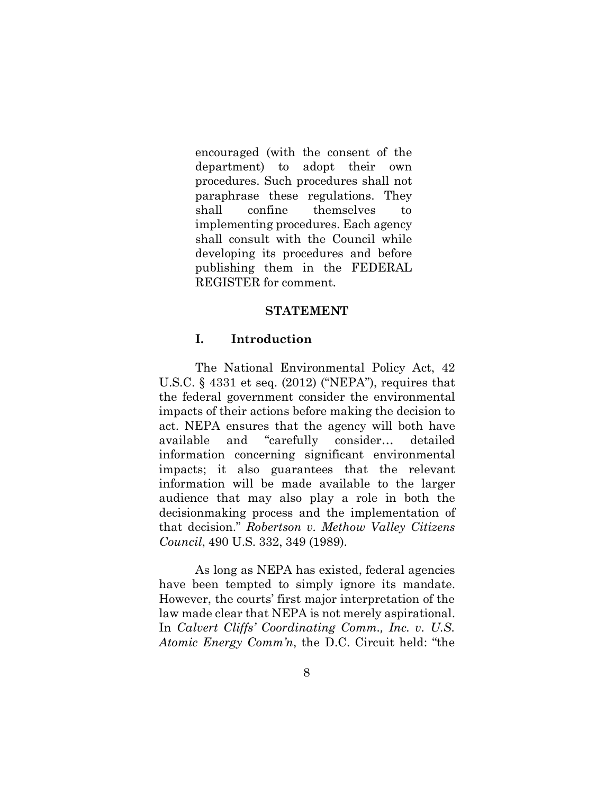encouraged (with the consent of the department) to adopt their own procedures. Such procedures shall not paraphrase these regulations. They shall confine themselves to implementing procedures. Each agency shall consult with the Council while developing its procedures and before publishing them in the FEDERAL REGISTER for comment.

#### **STATEMENT**

#### **I. Introduction**

The National Environmental Policy Act, 42 U.S.C. § 4331 et seq. (2012) ("NEPA"), requires that the federal government consider the environmental impacts of their actions before making the decision to act. NEPA ensures that the agency will both have available and "carefully consider… detailed information concerning significant environmental impacts; it also guarantees that the relevant information will be made available to the larger audience that may also play a role in both the decisionmaking process and the implementation of that decision." *Robertson v. Methow Valley Citizens Council*, 490 U.S. 332, 349 (1989).

As long as NEPA has existed, federal agencies have been tempted to simply ignore its mandate. However, the courts' first major interpretation of the law made clear that NEPA is not merely aspirational. In *Calvert Cliffs' Coordinating Comm., Inc. v. U.S. Atomic Energy Comm'n*, the D.C. Circuit held: "the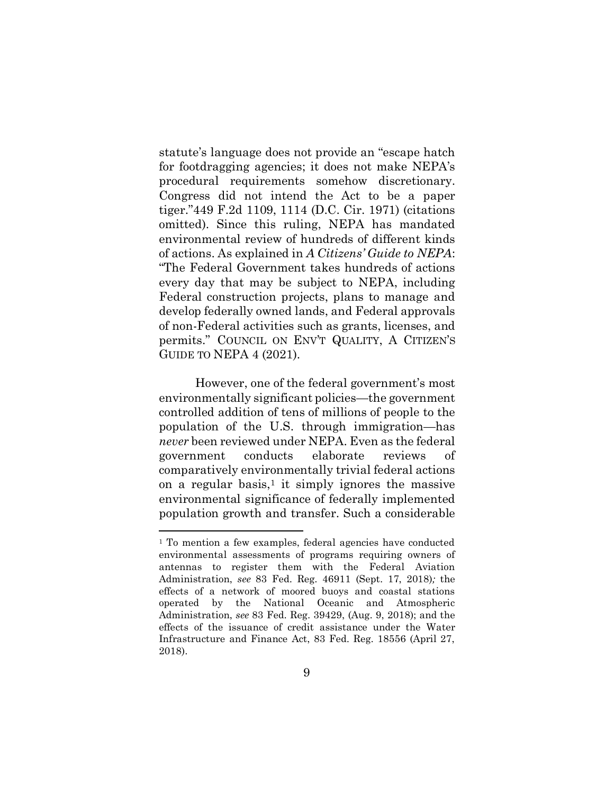statute's language does not provide an "escape hatch for footdragging agencies; it does not make NEPA's procedural requirements somehow discretionary. Congress did not intend the Act to be a paper tiger."449 F.2d 1109, 1114 (D.C. Cir. 1971) (citations omitted). Since this ruling, NEPA has mandated environmental review of hundreds of different kinds of actions. As explained in *A Citizens' Guide to NEPA*: "The Federal Government takes hundreds of actions every day that may be subject to NEPA, including Federal construction projects, plans to manage and develop federally owned lands, and Federal approvals of non-Federal activities such as grants, licenses, and permits." COUNCIL ON ENV'T QUALITY, A CITIZEN'S GUIDE TO NEPA 4 (2021).

However, one of the federal government's most environmentally significant policies—the government controlled addition of tens of millions of people to the population of the U.S. through immigration—has *never* been reviewed under NEPA. Even as the federal government conducts elaborate reviews of comparatively environmentally trivial federal actions on a regular basis,<sup>[1](#page-18-0)</sup> it simply ignores the massive environmental significance of federally implemented population growth and transfer. Such a considerable

<span id="page-18-0"></span><sup>&</sup>lt;sup>1</sup> To mention a few examples, federal agencies have conducted environmental assessments of programs requiring owners of antennas to register them with the Federal Aviation Administration, *see* 83 Fed. Reg. 46911 (Sept. 17, 2018)*;* the effects of a network of moored buoys and coastal stations operated by the National Oceanic and Atmospheric Administration, *see* 83 Fed. Reg. 39429, (Aug. 9, 2018); and the effects of the issuance of credit assistance under the Water Infrastructure and Finance Act, 83 Fed. Reg. 18556 (April 27, 2018).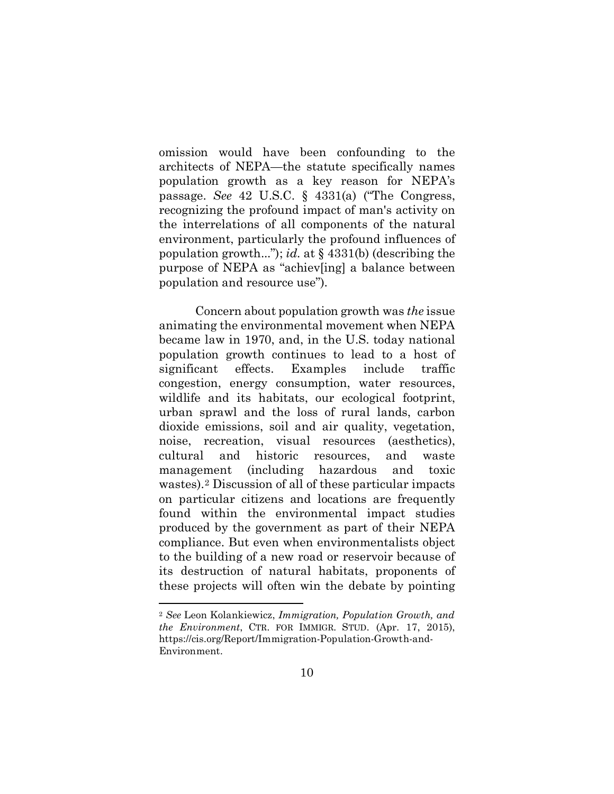omission would have been confounding to the architects of NEPA—the statute specifically names population growth as a key reason for NEPA's passage. *See* 42 U.S.C. § 4331(a) ("The Congress, recognizing the profound impact of man's activity on the interrelations of all components of the natural environment, particularly the profound influences of population growth..."); *id.* at § 4331(b) (describing the purpose of NEPA as "achiev[ing] a balance between population and resource use").

Concern about population growth was *the* issue animating the environmental movement when NEPA became law in 1970, and, in the U.S. today national population growth continues to lead to a host of significant effects. Examples include traffic congestion, energy consumption, water resources, wildlife and its habitats, our ecological footprint, urban sprawl and the loss of rural lands, carbon dioxide emissions, soil and air quality, vegetation, noise, recreation, visual resources (aesthetics), cultural and historic resources, and waste management (including hazardous and toxic wastes).[2](#page-19-0) Discussion of all of these particular impacts on particular citizens and locations are frequently found within the environmental impact studies produced by the government as part of their NEPA compliance. But even when environmentalists object to the building of a new road or reservoir because of its destruction of natural habitats, proponents of these projects will often win the debate by pointing

<span id="page-19-0"></span><sup>2</sup> *See* Leon Kolankiewicz, *Immigration, Population Growth, and the Environment*, CTR. FOR IMMIGR. STUD. (Apr. 17, 2015), https://cis.org/Report/Immigration-Population-Growth-and-Environment.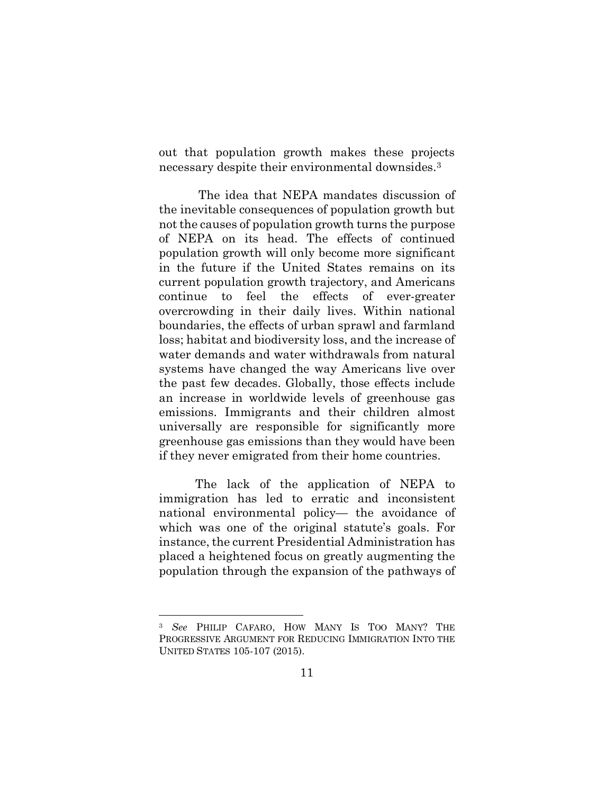out that population growth makes these projects necessary despite their environmental downsides.[3](#page-20-0)

The idea that NEPA mandates discussion of the inevitable consequences of population growth but not the causes of population growth turns the purpose of NEPA on its head. The effects of continued population growth will only become more significant in the future if the United States remains on its current population growth trajectory, and Americans continue to feel the effects of ever-greater overcrowding in their daily lives. Within national boundaries, the effects of urban sprawl and farmland loss; habitat and biodiversity loss, and the increase of water demands and water withdrawals from natural systems have changed the way Americans live over the past few decades. Globally, those effects include an increase in worldwide levels of greenhouse gas emissions. Immigrants and their children almost universally are responsible for significantly more greenhouse gas emissions than they would have been if they never emigrated from their home countries.

The lack of the application of NEPA to immigration has led to erratic and inconsistent national environmental policy— the avoidance of which was one of the original statute's goals. For instance, the current Presidential Administration has placed a heightened focus on greatly augmenting the population through the expansion of the pathways of

<span id="page-20-0"></span><sup>3</sup> *See* PHILIP CAFARO, HOW MANY IS TOO MANY? THE PROGRESSIVE ARGUMENT FOR REDUCING IMMIGRATION INTO THE UNITED STATES 105-107 (2015).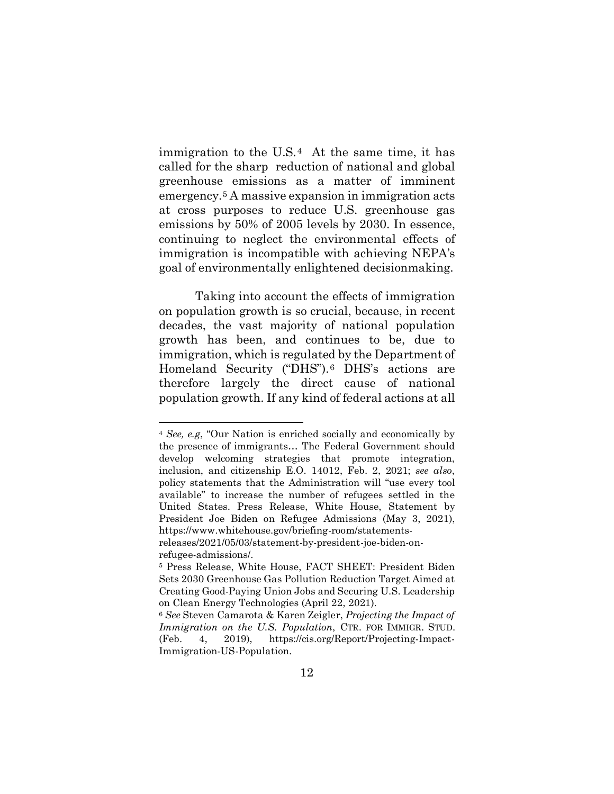immigration to the U.S.[4](#page-21-0) At the same time, it has called for the sharp reduction of national and global greenhouse emissions as a matter of imminent emergency.[5](#page-21-1) A massive expansion in immigration acts at cross purposes to reduce U.S. greenhouse gas emissions by 50% of 2005 levels by 2030. In essence, continuing to neglect the environmental effects of immigration is incompatible with achieving NEPA's goal of environmentally enlightened decisionmaking.

Taking into account the effects of immigration on population growth is so crucial, because, in recent decades, the vast majority of national population growth has been, and continues to be, due to immigration, which is regulated by the Department of Homeland Security ("DHS").[6](#page-21-2) DHS's actions are therefore largely the direct cause of national population growth. If any kind of federal actions at all

<span id="page-21-0"></span><sup>4</sup> *See, e.g*, "Our Nation is enriched socially and economically by the presence of immigrants… The Federal Government should develop welcoming strategies that promote integration, inclusion, and citizenship E.O. 14012, Feb. 2, 2021; *see also*, policy statements that the Administration will "use every tool available" to increase the number of refugees settled in the United States. Press Release, White House, Statement by President Joe Biden on Refugee Admissions (May 3, 2021), https://www.whitehouse.gov/briefing-room/statements-

releases/2021/05/03/statement-by-president-joe-biden-onrefugee-admissions/.

<span id="page-21-1"></span><sup>5</sup> Press Release, White House, FACT SHEET: President Biden Sets 2030 Greenhouse Gas Pollution Reduction Target Aimed at Creating Good-Paying Union Jobs and Securing U.S. Leadership on Clean Energy Technologies (April 22, 2021). 6 *See* Steven Camarota & Karen Zeigler, *Projecting the Impact of* 

<span id="page-21-2"></span>*Immigration on the U.S. Population*, CTR. FOR IMMIGR. STUD. (Feb. 4, 2019), https://cis.org/Report/Projecting-Impact-Immigration-US-Population.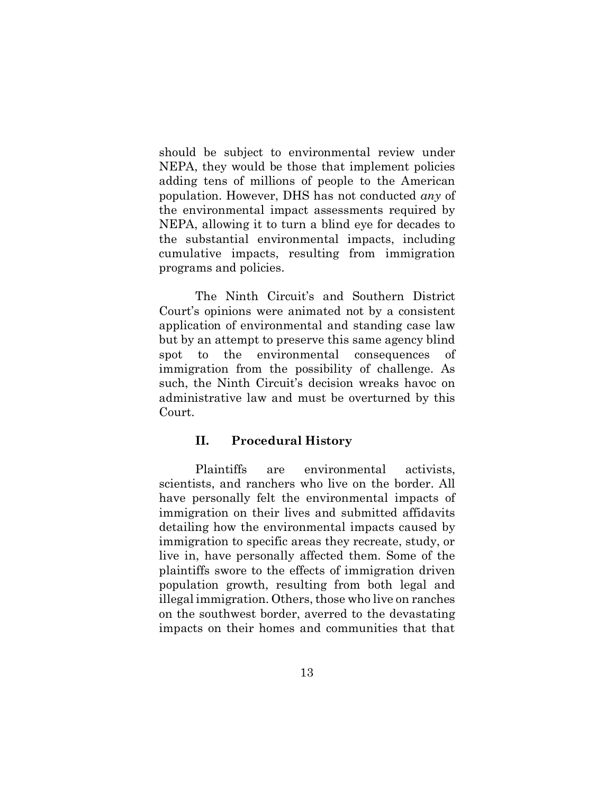should be subject to environmental review under NEPA, they would be those that implement policies adding tens of millions of people to the American population. However, DHS has not conducted *any* of the environmental impact assessments required by NEPA, allowing it to turn a blind eye for decades to the substantial environmental impacts, including cumulative impacts, resulting from immigration programs and policies.

The Ninth Circuit's and Southern District Court's opinions were animated not by a consistent application of environmental and standing case law but by an attempt to preserve this same agency blind spot to the environmental consequences of immigration from the possibility of challenge. As such, the Ninth Circuit's decision wreaks havoc on administrative law and must be overturned by this Court.

## **II. Procedural History**

Plaintiffs are environmental activists, scientists, and ranchers who live on the border. All have personally felt the environmental impacts of immigration on their lives and submitted affidavits detailing how the environmental impacts caused by immigration to specific areas they recreate, study, or live in, have personally affected them. Some of the plaintiffs swore to the effects of immigration driven population growth, resulting from both legal and illegal immigration. Others, those who live on ranches on the southwest border, averred to the devastating impacts on their homes and communities that that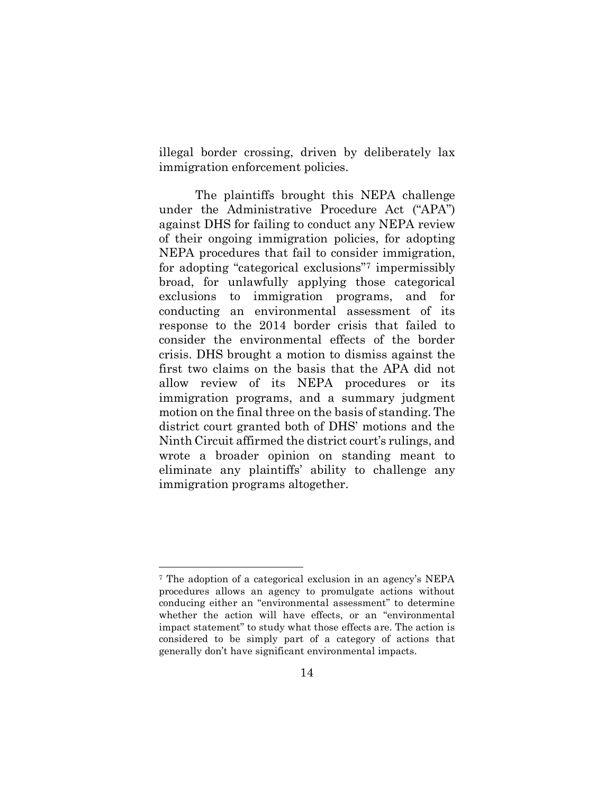illegal border crossing, driven by deliberately lax immigration enforcement policies.

The plaintiffs brought this NEPA challenge under the Administrative Procedure Act ("APA") against DHS for failing to conduct any NEPA review of their ongoing immigration policies, for adopting NEPA procedures that fail to consider immigration, for adopting "categorical exclusions["7](#page-23-0) impermissibly broad, for unlawfully applying those categorical exclusions to immigration programs, and for conducting an environmental assessment of its response to the 2014 border crisis that failed to consider the environmental effects of the border crisis. DHS brought a motion to dismiss against the first two claims on the basis that the APA did not allow review of its NEPA procedures or its immigration programs, and a summary judgment motion on the final three on the basis of standing. The district court granted both of DHS' motions and the Ninth Circuit affirmed the district court's rulings, and wrote a broader opinion on standing meant to eliminate any plaintiffs' ability to challenge any immigration programs altogether.

<span id="page-23-0"></span><sup>7</sup> The adoption of a categorical exclusion in an agency's NEPA procedures allows an agency to promulgate actions without conducing either an "environmental assessment" to determine whether the action will have effects, or an "environmental impact statement" to study what those effects are. The action is considered to be simply part of a category of actions that generally don't have significant environmental impacts.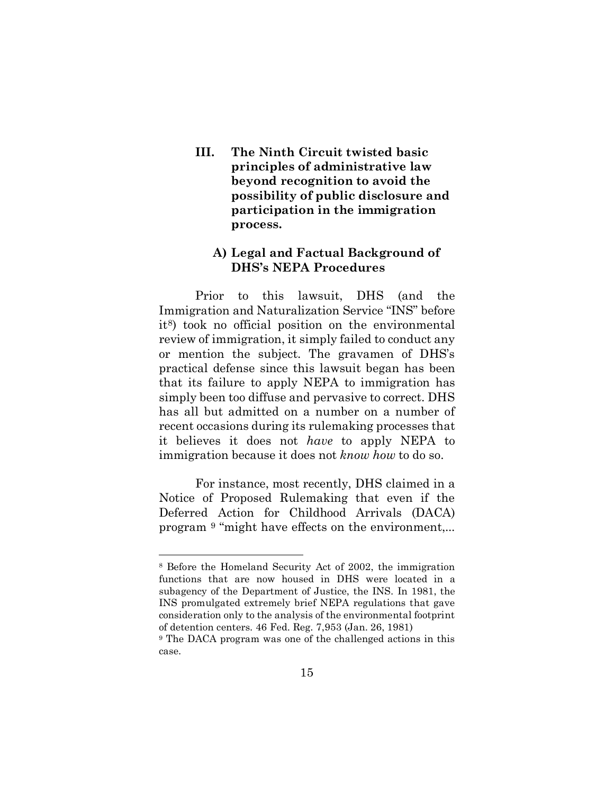**III. The Ninth Circuit twisted basic principles of administrative law beyond recognition to avoid the possibility of public disclosure and participation in the immigration process.** 

## **A) Legal and Factual Background of DHS's NEPA Procedures**

Prior to this lawsuit, DHS (and the Immigration and Naturalization Service "INS" before i[t8](#page-24-0)) took no official position on the environmental review of immigration, it simply failed to conduct any or mention the subject. The gravamen of DHS's practical defense since this lawsuit began has been that its failure to apply NEPA to immigration has simply been too diffuse and pervasive to correct. DHS has all but admitted on a number on a number of recent occasions during its rulemaking processes that it believes it does not *have* to apply NEPA to immigration because it does not *know how* to do so.

For instance, most recently, DHS claimed in a Notice of Proposed Rulemaking that even if the Deferred Action for Childhood Arrivals (DACA) program [9](#page-24-1) "might have effects on the environment,...

<span id="page-24-0"></span><sup>8</sup> Before the Homeland Security Act of 2002, the immigration functions that are now housed in DHS were located in a subagency of the Department of Justice, the INS. In 1981, the INS promulgated extremely brief NEPA regulations that gave consideration only to the analysis of the environmental footprint of detention centers. 46 Fed. Reg. 7,953 (Jan. 26, 1981)

<span id="page-24-1"></span><sup>9</sup> The DACA program was one of the challenged actions in this case.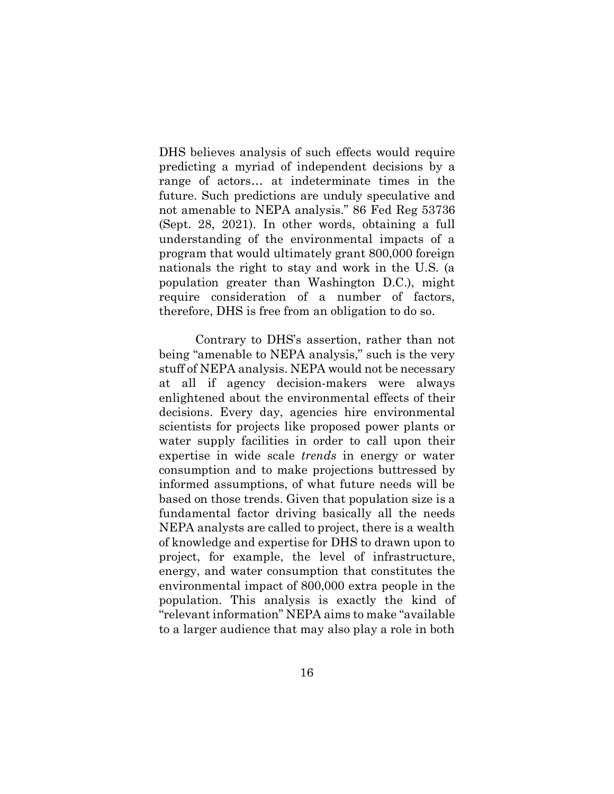DHS believes analysis of such effects would require predicting a myriad of independent decisions by a range of actors… at indeterminate times in the future. Such predictions are unduly speculative and not amenable to NEPA analysis." 86 Fed Reg 53736 (Sept. 28, 2021). In other words, obtaining a full understanding of the environmental impacts of a program that would ultimately grant 800,000 foreign nationals the right to stay and work in the U.S. (a population greater than Washington D.C.), might require consideration of a number of factors, therefore, DHS is free from an obligation to do so.

Contrary to DHS's assertion, rather than not being "amenable to NEPA analysis," such is the very stuff of NEPA analysis. NEPA would not be necessary at all if agency decision-makers were always enlightened about the environmental effects of their decisions. Every day, agencies hire environmental scientists for projects like proposed power plants or water supply facilities in order to call upon their expertise in wide scale *trends* in energy or water consumption and to make projections buttressed by informed assumptions, of what future needs will be based on those trends. Given that population size is a fundamental factor driving basically all the needs NEPA analysts are called to project, there is a wealth of knowledge and expertise for DHS to drawn upon to project, for example, the level of infrastructure, energy, and water consumption that constitutes the environmental impact of 800,000 extra people in the population. This analysis is exactly the kind of "relevant information" NEPA aims to make "available to a larger audience that may also play a role in both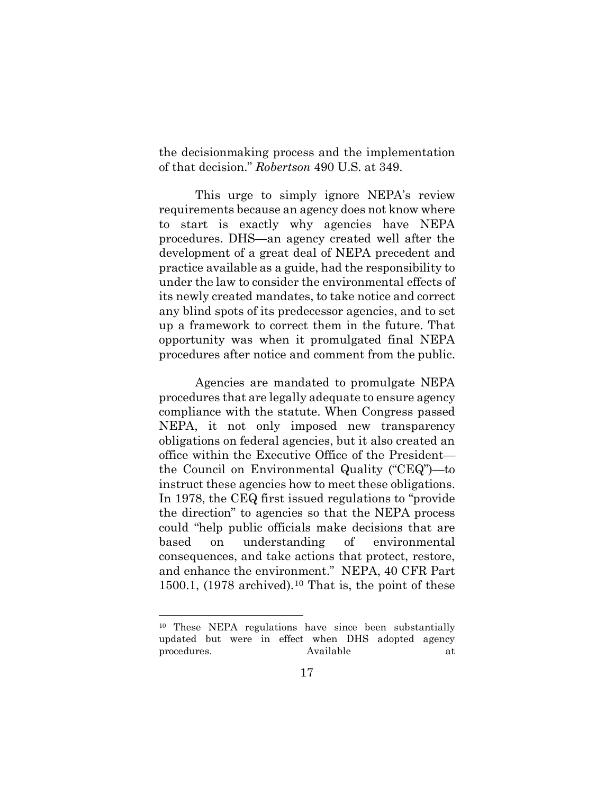the decisionmaking process and the implementation of that decision." *Robertson* 490 U.S. at 349.

This urge to simply ignore NEPA's review requirements because an agency does not know where to start is exactly why agencies have NEPA procedures. DHS—an agency created well after the development of a great deal of NEPA precedent and practice available as a guide, had the responsibility to under the law to consider the environmental effects of its newly created mandates, to take notice and correct any blind spots of its predecessor agencies, and to set up a framework to correct them in the future. That opportunity was when it promulgated final NEPA procedures after notice and comment from the public.

Agencies are mandated to promulgate NEPA procedures that are legally adequate to ensure agency compliance with the statute. When Congress passed NEPA, it not only imposed new transparency obligations on federal agencies, but it also created an office within the Executive Office of the President the Council on Environmental Quality ("CEQ")—to instruct these agencies how to meet these obligations. In 1978, the CEQ first issued regulations to "provide the direction" to agencies so that the NEPA process could "help public officials make decisions that are based on understanding of environmental consequences, and take actions that protect, restore, and enhance the environment." NEPA, 40 CFR Part 1500.1,  $(1978$  archived).<sup>[10](#page-26-0)</sup> That is, the point of these

<span id="page-26-0"></span><sup>10</sup> These NEPA regulations have since been substantially updated but were in effect when DHS adopted agency procedures. Available at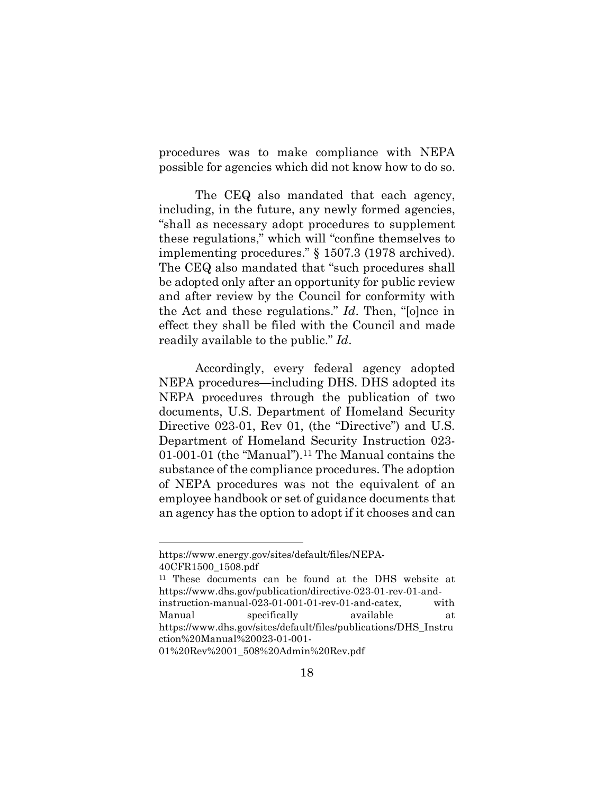procedures was to make compliance with NEPA possible for agencies which did not know how to do so.

The CEQ also mandated that each agency, including, in the future, any newly formed agencies, "shall as necessary adopt procedures to supplement these regulations," which will "confine themselves to implementing procedures." § 1507.3 (1978 archived). The CEQ also mandated that "such procedures shall be adopted only after an opportunity for public review and after review by the Council for conformity with the Act and these regulations." *Id*. Then, "[o]nce in effect they shall be filed with the Council and made readily available to the public." *Id*.

Accordingly, every federal agency adopted NEPA procedures—including DHS. DHS adopted its NEPA procedures through the publication of two documents, U.S. Department of Homeland Security Directive 023-01, Rev 01, (the "Directive") and U.S. Department of Homeland Security Instruction 023-  $01-001-01$  (the "Manual").<sup>11</sup> The Manual contains the substance of the compliance procedures. The adoption of NEPA procedures was not the equivalent of an employee handbook or set of guidance documents that an agency has the option to adopt if it chooses and can

https://www.energy.gov/sites/default/files/NEPA-40CFR1500\_1508.pdf

<span id="page-27-0"></span><sup>11</sup> These documents can be found at the DHS website at https://www.dhs.gov/publication/directive-023-01-rev-01-andinstruction-manual-023-01-001-01-rev-01-and-catex, with Manual specifically available at https://www.dhs.gov/sites/default/files/publications/DHS\_Instru ction%20Manual%20023-01-001-

<sup>01%20</sup>Rev%2001\_508%20Admin%20Rev.pdf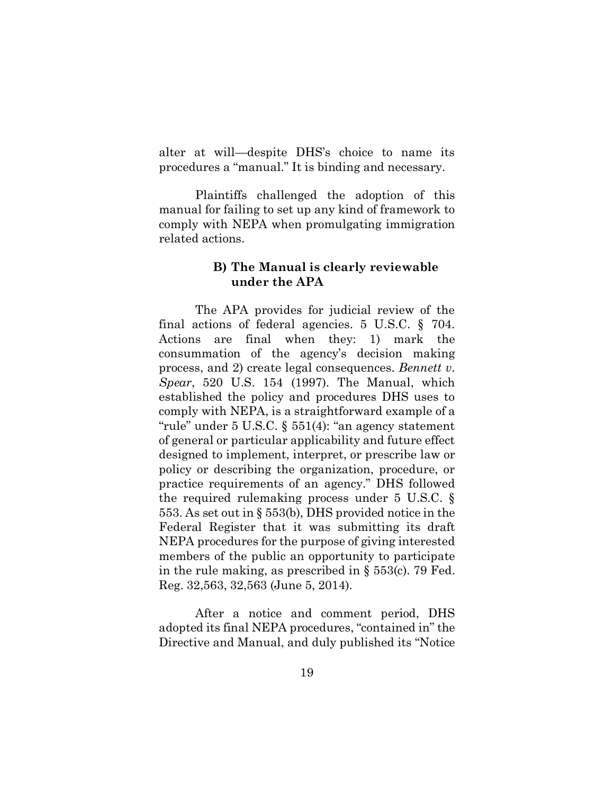alter at will—despite DHS's choice to name its procedures a "manual." It is binding and necessary.

Plaintiffs challenged the adoption of this manual for failing to set up any kind of framework to comply with NEPA when promulgating immigration related actions.

#### **B) The Manual is clearly reviewable under the APA**

The APA provides for judicial review of the final actions of federal agencies. 5 U.S.C. § 704. Actions are final when they: 1) mark the consummation of the agency's decision making process, and 2) create legal consequences. *Bennett v. Spear*, 520 U.S. 154 (1997). The Manual, which established the policy and procedures DHS uses to comply with NEPA, is a straightforward example of a "rule" under 5 U.S.C. § 551(4): "an agency statement of general or particular applicability and future effect designed to implement, interpret, or prescribe law or policy or describing the organization, procedure, or practice requirements of an agency." DHS followed the required rulemaking process under 5 U.S.C. § 553. As set out in § 553(b), DHS provided notice in the Federal Register that it was submitting its draft NEPA procedures for the purpose of giving interested members of the public an opportunity to participate in the rule making, as prescribed in § 553(c). 79 Fed. Reg. 32,563, 32,563 (June 5, 2014).

After a notice and comment period, DHS adopted its final NEPA procedures, "contained in" the Directive and Manual, and duly published its "Notice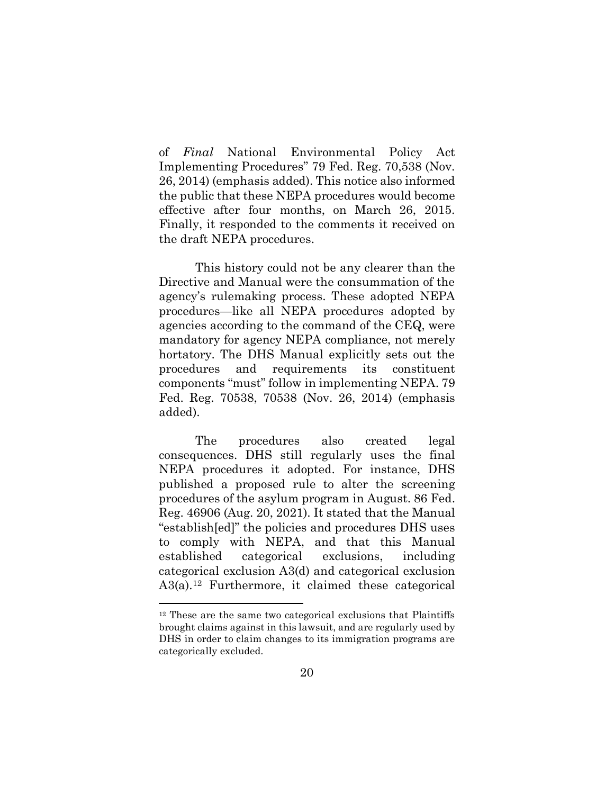of *Final* National Environmental Policy Act Implementing Procedures" 79 Fed. Reg. 70,538 (Nov. 26, 2014) (emphasis added). This notice also informed the public that these NEPA procedures would become effective after four months, on March 26, 2015. Finally, it responded to the comments it received on the draft NEPA procedures.

This history could not be any clearer than the Directive and Manual were the consummation of the agency's rulemaking process. These adopted NEPA procedures—like all NEPA procedures adopted by agencies according to the command of the CEQ, were mandatory for agency NEPA compliance, not merely hortatory. The DHS Manual explicitly sets out the procedures and requirements its constituent components "must" follow in implementing NEPA. 79 Fed. Reg. 70538, 70538 (Nov. 26, 2014) (emphasis added).

The procedures also created legal consequences. DHS still regularly uses the final NEPA procedures it adopted. For instance, DHS published a proposed rule to alter the screening procedures of the asylum program in August. 86 Fed. Reg. 46906 (Aug. 20, 2021). It stated that the Manual "establish[ed]" the policies and procedures DHS uses to comply with NEPA, and that this Manual established categorical exclusions, including categorical exclusion A3(d) and categorical exclusion A3(a)[.12](#page-29-0) Furthermore, it claimed these categorical

<span id="page-29-0"></span><sup>12</sup> These are the same two categorical exclusions that Plaintiffs brought claims against in this lawsuit, and are regularly used by DHS in order to claim changes to its immigration programs are categorically excluded.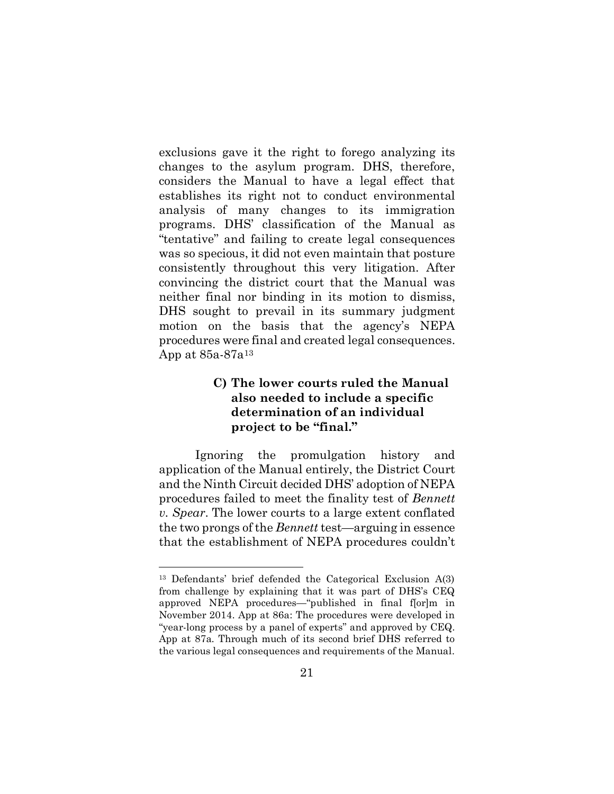exclusions gave it the right to forego analyzing its changes to the asylum program. DHS, therefore, considers the Manual to have a legal effect that establishes its right not to conduct environmental analysis of many changes to its immigration programs. DHS' classification of the Manual as "tentative" and failing to create legal consequences was so specious, it did not even maintain that posture consistently throughout this very litigation. After convincing the district court that the Manual was neither final nor binding in its motion to dismiss, DHS sought to prevail in its summary judgment motion on the basis that the agency's NEPA procedures were final and created legal consequences. App at 85a-87a[13](#page-30-0)

## **C) The lower courts ruled the Manual also needed to include a specific determination of an individual project to be "final."**

Ignoring the promulgation history and application of the Manual entirely, the District Court and the Ninth Circuit decided DHS' adoption of NEPA procedures failed to meet the finality test of *Bennett v. Spear*. The lower courts to a large extent conflated the two prongs of the *Bennett* test—arguing in essence that the establishment of NEPA procedures couldn't

<span id="page-30-0"></span><sup>13</sup> Defendants' brief defended the Categorical Exclusion A(3) from challenge by explaining that it was part of DHS's CEQ approved NEPA procedures—"published in final f[or]m in November 2014. App at 86a: The procedures were developed in "year-long process by a panel of experts" and approved by CEQ. App at 87a. Through much of its second brief DHS referred to the various legal consequences and requirements of the Manual.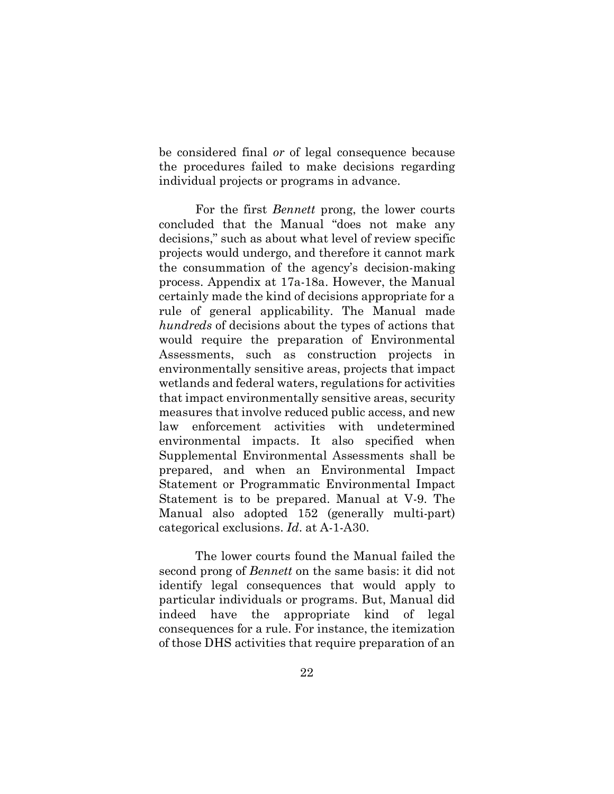be considered final *or* of legal consequence because the procedures failed to make decisions regarding individual projects or programs in advance.

For the first *Bennett* prong, the lower courts concluded that the Manual "does not make any decisions," such as about what level of review specific projects would undergo, and therefore it cannot mark the consummation of the agency's decision-making process. Appendix at 17a-18a. However, the Manual certainly made the kind of decisions appropriate for a rule of general applicability. The Manual made *hundreds* of decisions about the types of actions that would require the preparation of Environmental Assessments, such as construction projects in environmentally sensitive areas, projects that impact wetlands and federal waters, regulations for activities that impact environmentally sensitive areas, security measures that involve reduced public access, and new law enforcement activities with undetermined environmental impacts. It also specified when Supplemental Environmental Assessments shall be prepared, and when an Environmental Impact Statement or Programmatic Environmental Impact Statement is to be prepared. Manual at V-9. The Manual also adopted 152 (generally multi-part) categorical exclusions. *Id*. at A-1-A30.

The lower courts found the Manual failed the second prong of *Bennett* on the same basis: it did not identify legal consequences that would apply to particular individuals or programs. But, Manual did indeed have the appropriate kind of legal consequences for a rule. For instance, the itemization of those DHS activities that require preparation of an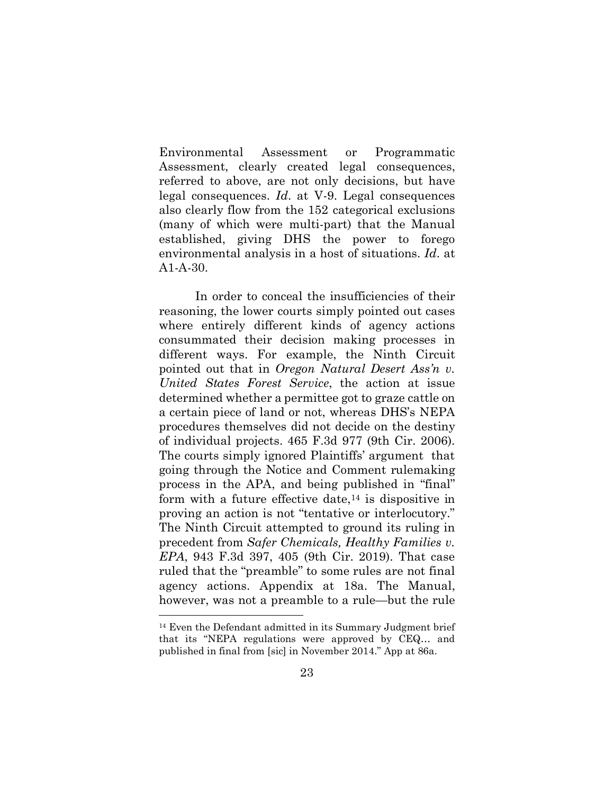Environmental Assessment or Programmatic Assessment, clearly created legal consequences, referred to above, are not only decisions, but have legal consequences. *Id*. at V-9. Legal consequences also clearly flow from the 152 categorical exclusions (many of which were multi-part) that the Manual established, giving DHS the power to forego environmental analysis in a host of situations. *Id*. at A1-A-30.

In order to conceal the insufficiencies of their reasoning, the lower courts simply pointed out cases where entirely different kinds of agency actions consummated their decision making processes in different ways. For example, the Ninth Circuit pointed out that in *Oregon Natural Desert Ass'n v. United States Forest Service*, the action at issue determined whether a permittee got to graze cattle on a certain piece of land or not, whereas DHS's NEPA procedures themselves did not decide on the destiny of individual projects. 465 F.3d 977 (9th Cir. 2006). The courts simply ignored Plaintiffs' argument that going through the Notice and Comment rulemaking process in the APA, and being published in "final" form with a future effective date, $14$  is dispositive in proving an action is not "tentative or interlocutory." The Ninth Circuit attempted to ground its ruling in precedent from *Safer Chemicals, Healthy Families v. EPA*, 943 F.3d 397, 405 (9th Cir. 2019). That case ruled that the "preamble" to some rules are not final agency actions. Appendix at 18a. The Manual, however, was not a preamble to a rule—but the rule

<span id="page-32-0"></span><sup>14</sup> Even the Defendant admitted in its Summary Judgment brief that its "NEPA regulations were approved by CEQ… and published in final from [sic] in November 2014." App at 86a.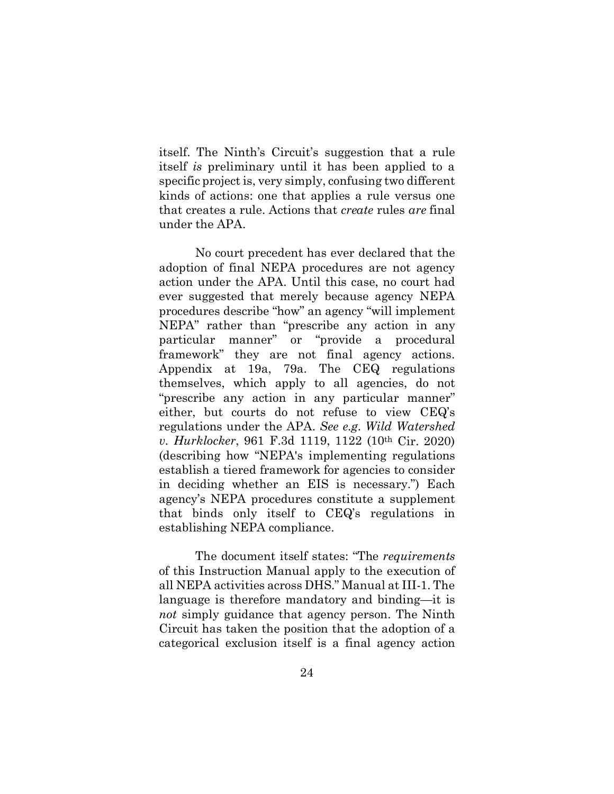itself. The Ninth's Circuit's suggestion that a rule itself *is* preliminary until it has been applied to a specific project is, very simply, confusing two different kinds of actions: one that applies a rule versus one that creates a rule. Actions that *create* rules *are* final under the APA.

No court precedent has ever declared that the adoption of final NEPA procedures are not agency action under the APA. Until this case, no court had ever suggested that merely because agency NEPA procedures describe "how" an agency "will implement NEPA" rather than "prescribe any action in any particular manner" or "provide a procedural framework" they are not final agency actions. Appendix at 19a, 79a. The CEQ regulations themselves, which apply to all agencies, do not "prescribe any action in any particular manner" either, but courts do not refuse to view CEQ's regulations under the APA. *See e.g*. *Wild Watershed v. Hurklocker*, 961 F.3d 1119, 1122 (10th Cir. 2020) (describing how "NEPA's implementing regulations establish a tiered framework for agencies to consider in deciding whether an EIS is necessary.") Each agency's NEPA procedures constitute a supplement that binds only itself to CEQ's regulations in establishing NEPA compliance.

The document itself states: "The *requirements* of this Instruction Manual apply to the execution of all NEPA activities across DHS." Manual at III-1. The language is therefore mandatory and binding—it is *not* simply guidance that agency person. The Ninth Circuit has taken the position that the adoption of a categorical exclusion itself is a final agency action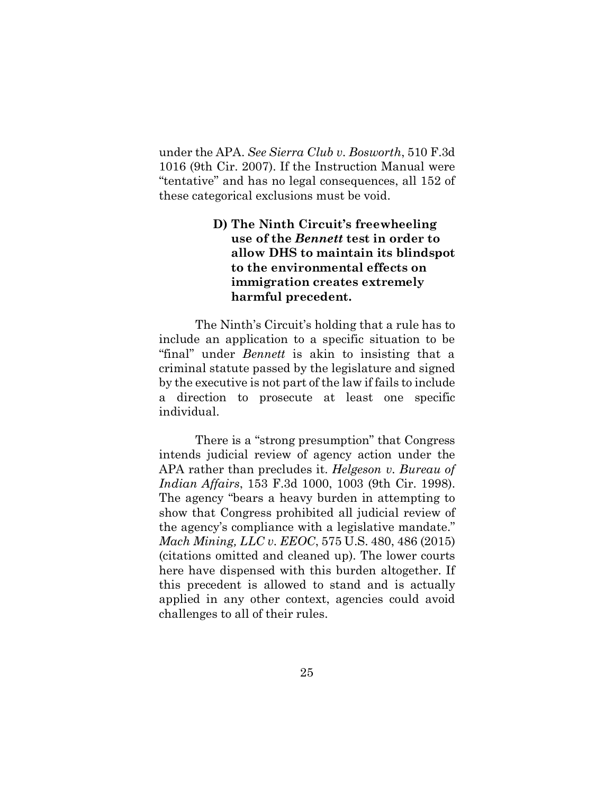under the APA. *See Sierra Club v. Bosworth*, 510 F.3d 1016 (9th Cir. 2007). If the Instruction Manual were "tentative" and has no legal consequences, all 152 of these categorical exclusions must be void.

## **D) The Ninth Circuit's freewheeling use of the** *Bennett* **test in order to allow DHS to maintain its blindspot to the environmental effects on immigration creates extremely harmful precedent.**

The Ninth's Circuit's holding that a rule has to include an application to a specific situation to be "final" under *Bennett* is akin to insisting that a criminal statute passed by the legislature and signed by the executive is not part of the law if fails to include a direction to prosecute at least one specific individual.

There is a "strong presumption" that Congress intends judicial review of agency action under the APA rather than precludes it. *Helgeson v. Bureau of Indian Affairs*, 153 F.3d 1000, 1003 (9th Cir. 1998). The agency "bears a heavy burden in attempting to show that Congress prohibited all judicial review of the agency's compliance with a legislative mandate." *Mach Mining, LLC v. EEOC*, 575 U.S. 480, 486 (2015) (citations omitted and cleaned up). The lower courts here have dispensed with this burden altogether. If this precedent is allowed to stand and is actually applied in any other context, agencies could avoid challenges to all of their rules.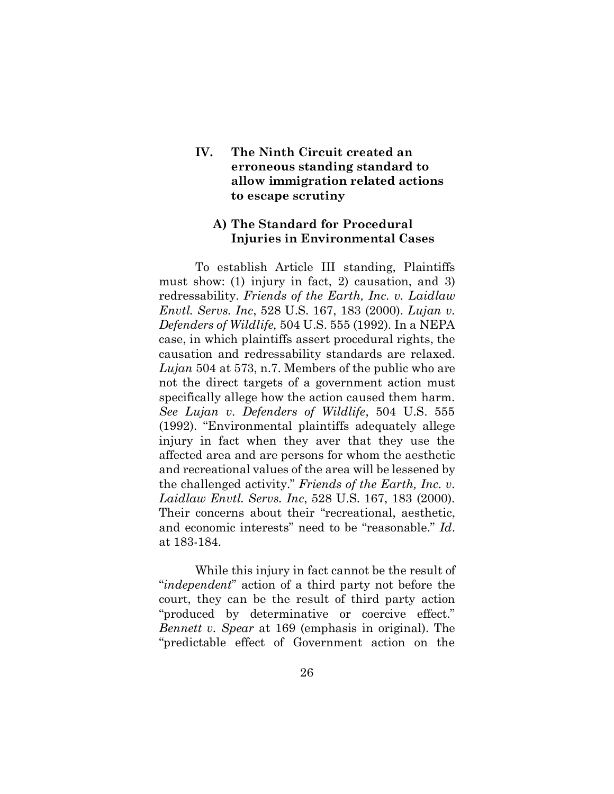## **IV. The Ninth Circuit created an erroneous standing standard to allow immigration related actions to escape scrutiny**

## **A) The Standard for Procedural Injuries in Environmental Cases**

To establish Article III standing, Plaintiffs must show: (1) injury in fact, 2) causation, and 3) redressability. *Friends of the Earth, Inc. v. Laidlaw Envtl. Servs. Inc*, 528 U.S. 167, 183 (2000). *Lujan v. Defenders of Wildlife,* 504 U.S. 555 (1992). In a NEPA case, in which plaintiffs assert procedural rights, the causation and redressability standards are relaxed. *Lujan* 504 at 573, n.7. Members of the public who are not the direct targets of a government action must specifically allege how the action caused them harm. *See Lujan v. Defenders of Wildlife*, 504 U.S. 555 (1992). "Environmental plaintiffs adequately allege injury in fact when they aver that they use the affected area and are persons for whom the aesthetic and recreational values of the area will be lessened by the challenged activity." *Friends of the Earth, Inc. v. Laidlaw Envtl. Servs. Inc*, 528 U.S. 167, 183 (2000). Their concerns about their "recreational, aesthetic, and economic interests" need to be "reasonable." *Id*. at 183-184.

While this injury in fact cannot be the result of "*independent*" action of a third party not before the court, they can be the result of third party action "produced by determinative or coercive effect." *Bennett v. Spear* at 169 (emphasis in original). The "predictable effect of Government action on the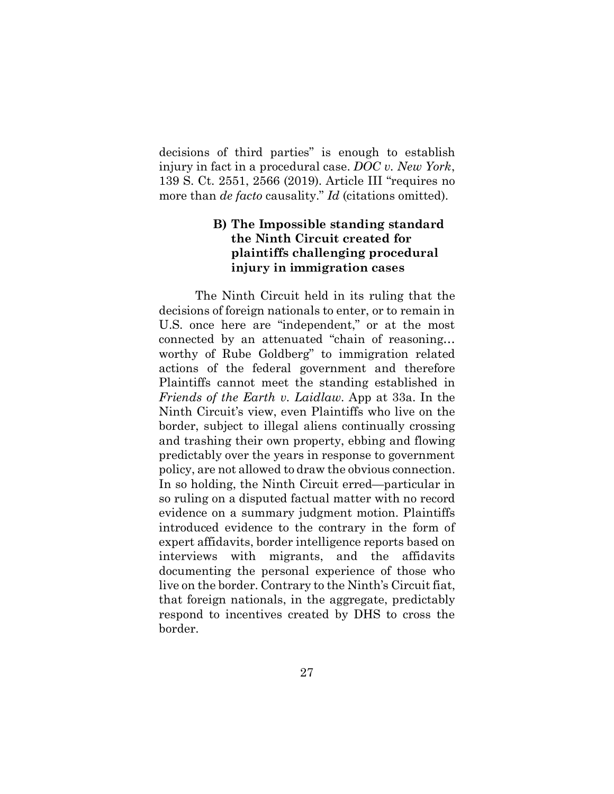decisions of third parties" is enough to establish injury in fact in a procedural case. *DOC v. New York*, 139 S. Ct. 2551, 2566 (2019). Article III "requires no more than *de facto* causality." *Id* (citations omitted).

## **B) The Impossible standing standard the Ninth Circuit created for plaintiffs challenging procedural injury in immigration cases**

The Ninth Circuit held in its ruling that the decisions of foreign nationals to enter, or to remain in U.S. once here are "independent," or at the most connected by an attenuated "chain of reasoning… worthy of Rube Goldberg" to immigration related actions of the federal government and therefore Plaintiffs cannot meet the standing established in *Friends of the Earth v. Laidlaw*. App at 33a. In the Ninth Circuit's view, even Plaintiffs who live on the border, subject to illegal aliens continually crossing and trashing their own property, ebbing and flowing predictably over the years in response to government policy, are not allowed to draw the obvious connection. In so holding, the Ninth Circuit erred—particular in so ruling on a disputed factual matter with no record evidence on a summary judgment motion. Plaintiffs introduced evidence to the contrary in the form of expert affidavits, border intelligence reports based on interviews with migrants, and the affidavits documenting the personal experience of those who live on the border. Contrary to the Ninth's Circuit fiat, that foreign nationals, in the aggregate, predictably respond to incentives created by DHS to cross the border.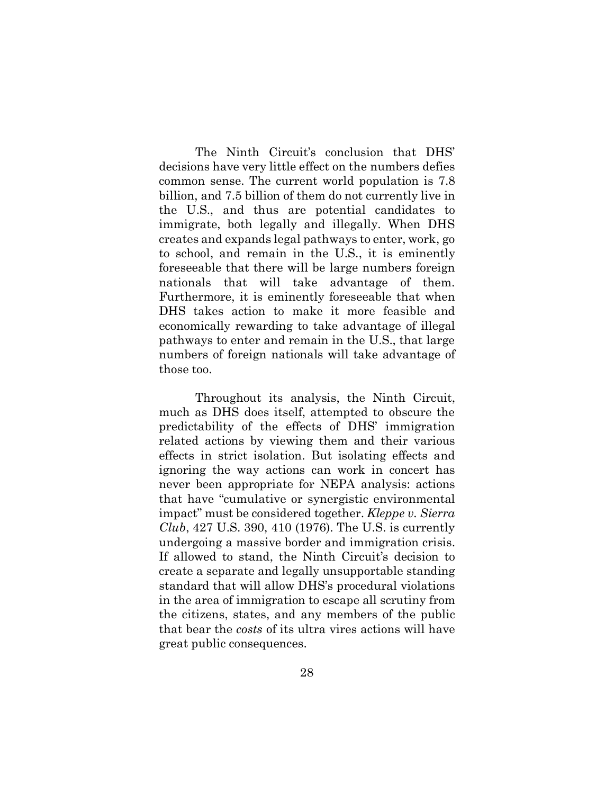The Ninth Circuit's conclusion that DHS' decisions have very little effect on the numbers defies common sense. The current world population is 7.8 billion, and 7.5 billion of them do not currently live in the U.S., and thus are potential candidates to immigrate, both legally and illegally. When DHS creates and expands legal pathways to enter, work, go to school, and remain in the U.S., it is eminently foreseeable that there will be large numbers foreign nationals that will take advantage of them. Furthermore, it is eminently foreseeable that when DHS takes action to make it more feasible and economically rewarding to take advantage of illegal pathways to enter and remain in the U.S., that large numbers of foreign nationals will take advantage of those too.

Throughout its analysis, the Ninth Circuit, much as DHS does itself, attempted to obscure the predictability of the effects of DHS' immigration related actions by viewing them and their various effects in strict isolation. But isolating effects and ignoring the way actions can work in concert has never been appropriate for NEPA analysis: actions that have "cumulative or synergistic environmental impact" must be considered together. *Kleppe v. Sierra Club*, 427 U.S. 390, 410 (1976). The U.S. is currently undergoing a massive border and immigration crisis. If allowed to stand, the Ninth Circuit's decision to create a separate and legally unsupportable standing standard that will allow DHS's procedural violations in the area of immigration to escape all scrutiny from the citizens, states, and any members of the public that bear the *costs* of its ultra vires actions will have great public consequences.